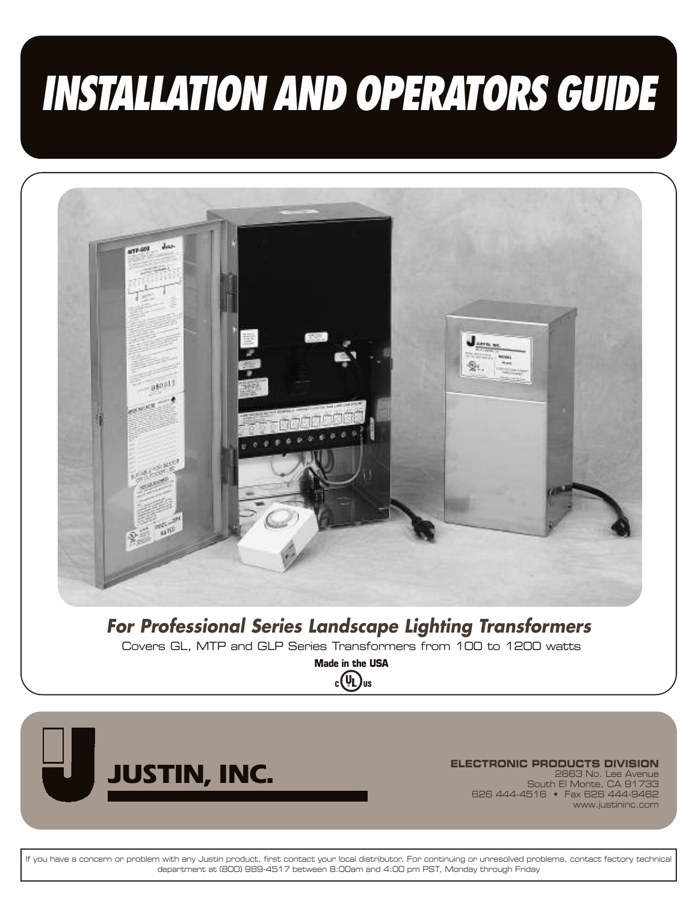# *INSTALLATION AND OPERATORS GUIDE*



*For Professional Series Landscape Lighting Transformers*

**Covers GL, MTP and GLP Series Transformers from 100 to 1200 watts**

**Made in the USA** $_{c}$ (V<sub>L</sub>)<sub>us</sub>



**JUSTIN, INC. ELECTRONIC PRODUCTS DIVISION**<br>
Bouth El Monte, CA 91733 **2663 No. Lee Avenue South El Monte, CA 91733 626 444-4516 • Fax 626 444-9462 www.justininc.com**

If you have a concern or problem with any Justin product, first contact your local distributor. For continuing or unresolved problems, contact factory technical **department at (800) 989-4517 between 8:00am and 4:00 pm PST, Monday through Friday**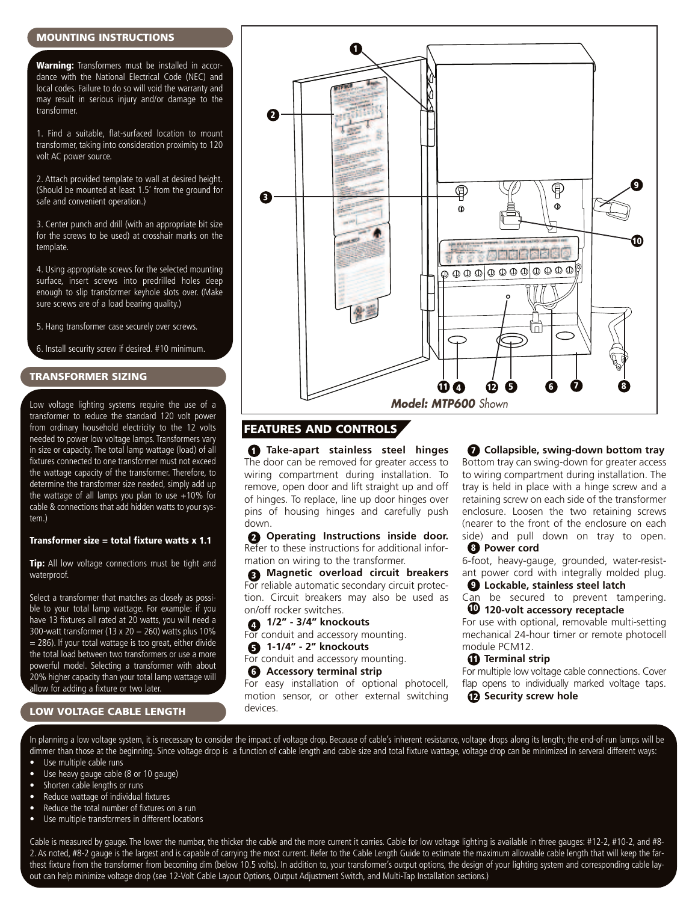#### **MOUNTING INSTRUCTIONS**

**Warning:** Transformers must be installed in accordance with the National Electrical Code (NEC) and local codes. Failure to do so will void the warranty and may result in serious injury and/or damage to the transformer.

1. Find a suitable, flat-surfaced location to mount transformer, taking into consideration proximity to 120 volt AC power source.

2. Attach provided template to wall at desired height. (Should be mounted at least 1.5' from the ground for safe and convenient operation.)

3. Center punch and drill (with an appropriate bit size for the screws to be used) at crosshair marks on the template.

4. Using appropriate screws for the selected mounting surface, insert screws into predrilled holes deep enough to slip transformer keyhole slots over. (Make sure screws are of a load bearing quality.)

5. Hang transformer case securely over screws.

6. Install security screw if desired. #10 minimum.

#### **TRANSFORMER SIZING**

Low voltage lighting systems require the use of a transformer to reduce the standard 120 volt power from ordinary household electricity to the 12 volts needed to power low voltage lamps. Transformers vary in size or capacity. The total lamp wattage (load) of all fixtures connected to one transformer must not exceed the wattage capacity of the transformer. Therefore, to determine the transformer size needed, simply add up the wattage of all lamps you plan to use  $+10\%$  for cable & connections that add hidden watts to your system)

#### **Transformer size = total fixture watts x 1.1**

**Tip:** All low voltage connections must be tight and waterproof.

Select a transformer that matches as closely as possible to your total lamp wattage. For example: if you have 13 fixtures all rated at 20 watts, you will need a 300-watt transformer (13 x 20 = 260) watts plus 10%  $= 286$ ). If your total wattage is too great, either divide the total load between two transformers or use a more powerful model. Selecting a transformer with about 20% higher capacity than your total lamp wattage will allow for adding a fixture or two later.

#### **LOW VOLTAGE CABLE LENGTH**



### **FEATURES AND CONTROLS**

**Take-apart stainless steel hinges 1** The door can be removed for greater access to wiring compartment during installation. To remove, open door and lift straight up and off of hinges. To replace, line up door hinges over pins of housing hinges and carefully push down.

**Operating Instructions inside door. 2** Refer to these instructions for additional information on wiring to the transformer.

**Magnetic overload circuit breakers 3** Magnetic overload circuit breakers<br>For reliable automatic secondary circuit protection. Circuit breakers may also be used as on/off rocker switches.

**1/2" - 3/4" knockouts 4**

- For conduit and accessory mounting.
- **1-1/4" - 2" knockouts 5**

For conduit and accessory mounting.

**Accessory terminal strip 6**

For easy installation of optional photocell, motion sensor, or other external switching devices.

**Collapsible, swing-down bottom tray 7** Bottom tray can swing-down for greater access to wiring compartment during installation. The tray is held in place with a hinge screw and a retaining screw on each side of the transformer enclosure. Loosen the two retaining screws (nearer to the front of the enclosure on each side) and pull down on tray to open. **Power cord 8**

6-foot, heavy-gauge, grounded, water-resistant power cord with integrally molded plug.

**Lockable, stainless steel latch 9** Can be secured to prevent tampering.

**120-volt accessory receptacle 10**

For use with optional, removable multi-setting mechanical 24-hour timer or remote photocell module PCM12.

#### **Terminal strip 11**

For multiple low voltage cable connections. Cover flap opens to individually marked voltage taps.

 $\mathbf{D}$  Security screw hole

In planning a low voltage system, it is necessary to consider the impact of voltage drop. Because of cable's inherent resistance, voltage drops along its length; the end-of-run lamps will be dimmer than those at the beginning. Since voltage drop is a function of cable length and cable size and total fixture wattage, voltage drop can be minimized in serveral different ways:

- Use multiple cable runs
- Use heavy gauge cable (8 or 10 gauge)
- Shorten cable lengths or runs
- Reduce wattage of individual fixtures
- Reduce the total number of fixtures on a run Use multiple transformers in different locations

Cable is measured by gauge. The lower the number, the thicker the cable and the more current it carries. Cable for low voltage lighting is available in three gauges: #12-2, #10-2, and #8- 2. As noted, #8-2 gauge is the largest and is capable of carrying the most current. Refer to the Cable Length Guide to estimate the maximum allowable cable length that will keep the farthest fixture from the transformer from becoming dim (below 10.5 volts). In addition to, your transformer's output options, the design of your lighting system and corresponding cable layout can help minimize voltage drop (see 12-Volt Cable Layout Options, Output Adjustment Switch, and Multi-Tap Installation sections.)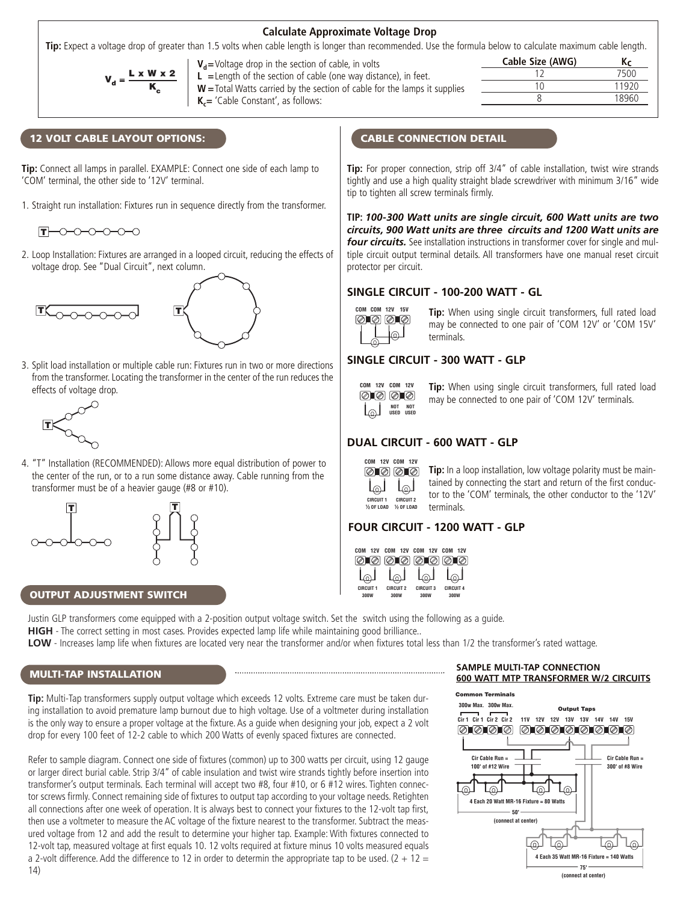#### **Calculate Approximate Voltage Drop**

**Tip:** Expect a voltage drop of greater than 1.5 volts when cable length is longer than recommended. Use the formula below to calculate maximum cable length.

$$
V_{d} = \frac{L \times W \times 2}{K_{c}}
$$

**V<sub>d</sub>=Voltage drop in the section of cable, in volts** 

**L =**Length of the section of cable (one way distance), in feet. **W =**Total Watts carried by the section of cable for the lamps it supplies **K<sub>c</sub>=** 'Cable Constant', as follows:

|                  | -     |
|------------------|-------|
| Cable Size (AWG) | Кc    |
| 12               | 7500  |
| 10               | 11920 |
|                  | 18960 |
|                  |       |

#### **12 VOLT CABLE LAYOUT OPTIONS:**

**Tip:** Connect all lamps in parallel. EXAMPLE: Connect one side of each lamp to 'COM' terminal, the other side to '12V' terminal.

1. Straight run installation: Fixtures run in sequence directly from the transformer.



2. Loop Installation: Fixtures are arranged in a looped circuit, reducing the effects of voltage drop. See "Dual Circuit", next column.





3. Split load installation or multiple cable run: Fixtures run in two or more directions from the transformer.Locating the transformer in the center of the run reduces the effects of voltage drop.



4. "T" Installation (RECOMMENDED): Allows more equal distribution of power to the center of the run, or to a run some distance away. Cable running from the transformer must be of a heavier gauge (#8 or #10).





#### **OUTPUT ADJUSTMENT SWITCH**

Justin GLP transformers come equipped with a 2-position output voltage switch. Set the switch using the following as a guide. **HIGH** - The correct setting in most cases. Provides expected lamp life while maintaining good brilliance..

**LOW** - Increases lamp life when fixtures are located very near the transformer and/or when fixtures total less than 1/2 the transformer's rated wattage.

#### **MULTI-TAP INSTALLATION**

**Tip:** Multi-Tap transformers supply output voltage which exceeds 12 volts. Extreme care must be taken during installation to avoid premature lamp burnout due to high voltage. Use of a voltmeter during installation is the only way to ensure a proper voltage at the fixture. As a guide when designing your job, expect a 2 volt drop for every 100 feet of 12-2 cable to which 200 Watts of evenly spaced fixtures are connected.

Refer to sample diagram. Connect one side of fixtures (common) up to 300 watts per circuit, using 12 gauge or larger direct burial cable. Strip 3/4" of cable insulation and twist wire strands tightly before insertion into transformer's output terminals. Each terminal will accept two #8, four #10, or 6 #12 wires. Tighten connector screws firmly. Connect remaining side of fixtures to output tap according to your voltage needs. Retighten all connections after one week of operation. It is always best to connect your fixtures to the 12-volt tap first, then use a voltmeter to measure the AC voltage of the fixture nearest to the transformer. Subtract the measured voltage from 12 and add the result to determine your higher tap. Example: With fixtures connected to 12-volt tap, measured voltage at first equals 10. 12 volts required at fixture minus 10 volts measured equals a 2-volt difference. Add the difference to 12 in order to determin the appropriate tap to be used.  $(2 + 12 =$ 14)

#### **CABLE CONNECTION DETAIL**

**Tip:** For proper connection, strip off 3/4" of cable installation, twist wire strands tightly and use a high quality straight blade screwdriver with minimum 3/16" wide tip to tighten all screw terminals firmly.

**TIP:** *100-300 Watt units are single circuit, 600 Watt units are two circuits, 900 Watt units are three circuits and 1200 Watt units are four circuits.* See installation instructions in transformer cover for single and multiple circuit output terminal details. All transformers have one manual reset circuit protector per circuit.

#### **SINGLE CIRCUIT - 100-200 WATT - GL**



 $\overline{T}$   $\overline{I}$   $\overline{I}$   $\overline{I}$   $\overline{I}$   $\overline{I}$   $\overline{I}$   $\overline{I}$   $\overline{I}$   $\overline{I}$   $\overline{I}$   $\overline{I}$   $\overline{I}$   $\overline{I}$   $\overline{I}$   $\overline{I}$   $\overline{I}$   $\overline{I}$   $\overline{I}$   $\overline{I}$   $\overline{I}$   $\overline{I}$   $\overline{I}$   $\overline{I}$   $\overline{I$ may be connected to one pair of 'COM 12V' or 'COM 15V' terminals.

#### **SINGLE CIRCUIT - 300 WATT - GLP**



**Tip:** When using single circuit transformers, full rated load may be connected to one pair of 'COM 12V' terminals.

#### **DUAL CIRCUIT - 600 WATT - GLP**



**Tip:** In a loop installation, low voltage polarity must be maintained by connecting the start and return of the first conductor to the 'COM' terminals, the other conductor to the '12V' terminals.

#### **FOUR CIRCUIT - 1200 WATT - GLP**